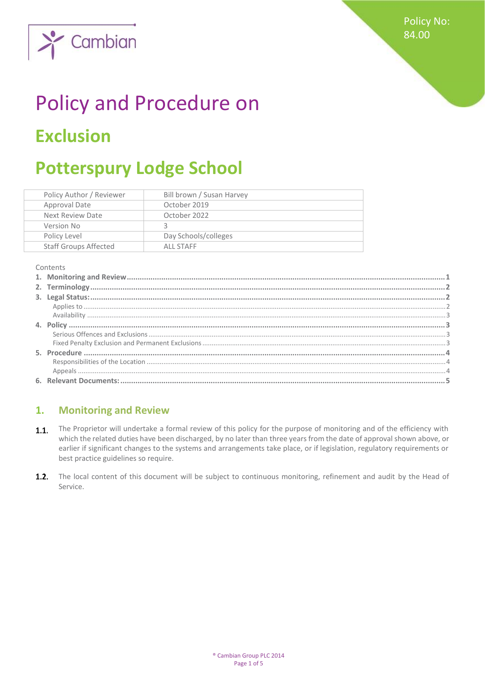

# Policy and Procedure on **Exclusion**

# **Potterspury Lodge School**

| Policy Author / Reviewer     | Bill brown / Susan Harvey |
|------------------------------|---------------------------|
| Approval Date                | October 2019              |
| Next Review Date             | October 2022              |
| Version No                   |                           |
| Policy Level                 | Day Schools/colleges      |
| <b>Staff Groups Affected</b> | ALL STAFF                 |

Contents

# <span id="page-0-0"></span>**1. Monitoring and Review**

- The Proprietor will undertake a formal review of this policy for the purpose of monitoring and of the efficiency with  $1.1.$ which the related duties have been discharged, by no later than three years from the date of approval shown above, or earlier if significant changes to the systems and arrangements take place, or if legislation, regulatory requirements or best practice guidelines so require.
- $1.2.$ The local content of this document will be subject to continuous monitoring, refinement and audit by the Head of Service.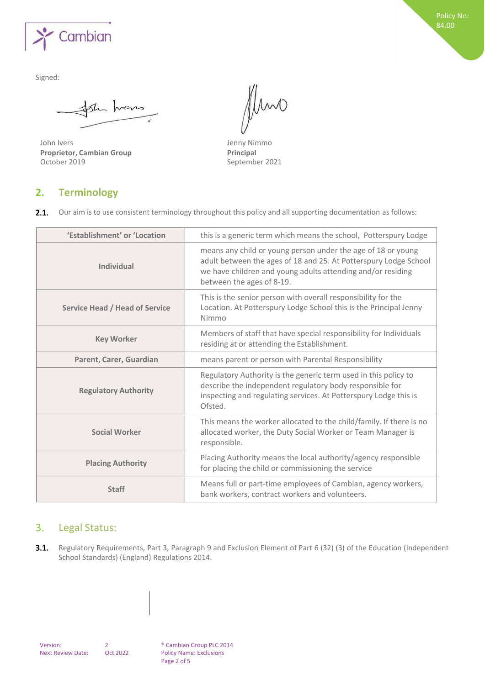

She hans

John Ivers Jenny Nimmo **Proprietor, Cambian Group**<br>
October 2019<br>
Septemb

Imo

September 2021

# <span id="page-1-0"></span>**2. Terminology**

 $2.1.$ Our aim is to use consistent terminology throughout this policy and all supporting documentation as follows:

| 'Establishment' or 'Location          | this is a generic term which means the school, Potterspury Lodge                                                                                                                                                             |
|---------------------------------------|------------------------------------------------------------------------------------------------------------------------------------------------------------------------------------------------------------------------------|
| <b>Individual</b>                     | means any child or young person under the age of 18 or young<br>adult between the ages of 18 and 25. At Potterspury Lodge School<br>we have children and young adults attending and/or residing<br>between the ages of 8-19. |
| <b>Service Head / Head of Service</b> | This is the senior person with overall responsibility for the<br>Location. At Potterspury Lodge School this is the Principal Jenny<br>Nimmo                                                                                  |
| <b>Key Worker</b>                     | Members of staff that have special responsibility for Individuals<br>residing at or attending the Establishment.                                                                                                             |
| Parent, Carer, Guardian               | means parent or person with Parental Responsibility                                                                                                                                                                          |
| <b>Regulatory Authority</b>           | Regulatory Authority is the generic term used in this policy to<br>describe the independent regulatory body responsible for<br>inspecting and regulating services. At Potterspury Lodge this is<br>Ofsted.                   |
| <b>Social Worker</b>                  | This means the worker allocated to the child/family. If there is no<br>allocated worker, the Duty Social Worker or Team Manager is<br>responsible.                                                                           |
| <b>Placing Authority</b>              | Placing Authority means the local authority/agency responsible<br>for placing the child or commissioning the service                                                                                                         |
| <b>Staff</b>                          | Means full or part-time employees of Cambian, agency workers,<br>bank workers, contract workers and volunteers.                                                                                                              |

# <span id="page-1-1"></span>3. Legal Status:

<span id="page-1-2"></span> $3.1.$ Regulatory Requirements, Part 3, Paragraph 9 and Exclusion Element of Part 6 (32) (3) of the Education (Independent School Standards) (England) Regulations 2014.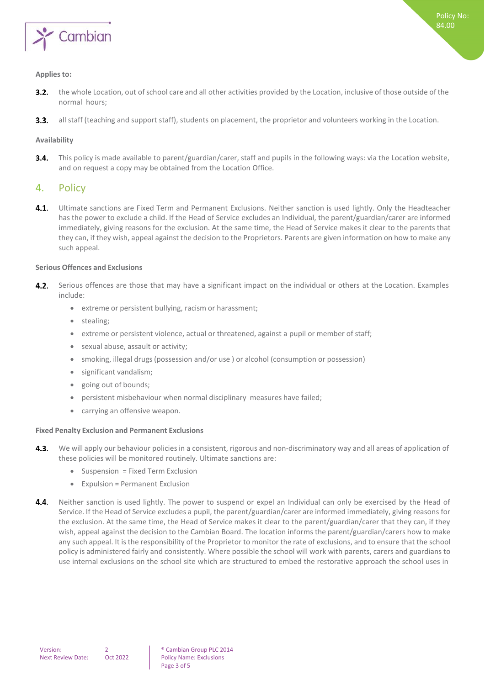

#### **Applies to:**

- $3.2.$ the whole Location, out ofschool care and all other activities provided by the Location, inclusive of those outside of the normal hours;
- $3.3.$ all staff (teaching and support staff), students on placement, the proprietor and volunteers working in the Location.

#### <span id="page-2-0"></span>**Availability**

 $3.4.$ This policy is made available to parent/guardian/carer, staff and pupils in the following ways: via the Location website, and on request a copy may be obtained from the Location Office.

## <span id="page-2-1"></span>4. Policy

 $4.1.$ Ultimate sanctions are Fixed Term and Permanent Exclusions. Neither sanction is used lightly. Only the Headteacher has the power to exclude a child. If the Head of Service excludes an Individual, the parent/guardian/carer are informed immediately, giving reasons for the exclusion. At the same time, the Head of Service makes it clear to the parents that they can, if they wish, appeal against the decision to the Proprietors. Parents are given information on how to make any such appeal.

#### <span id="page-2-2"></span>**Serious Offences and Exclusions**

- 4.2. Serious offences are those that may have a significant impact on the individual or others at the Location. Examples include:
	- extreme or persistent bullying, racism or harassment;
	- stealing;
	- extreme or persistent violence, actual or threatened, against a pupil or member of staff;
	- sexual abuse, assault or activity;
	- smoking, illegal drugs (possession and/or use ) or alcohol (consumption or possession)
	- significant vandalism;
	- going out of bounds;
	- persistent misbehaviour when normal disciplinary measures have failed;
	- carrying an offensive weapon.

#### <span id="page-2-3"></span>**Fixed Penalty Exclusion and Permanent Exclusions**

- $4.3.$ We will apply our behaviour policies in a consistent, rigorous and non-discriminatory way and all areas of application of these policies will be monitored routinely. Ultimate sanctions are:
	- Suspension = Fixed Term Exclusion
	- Expulsion = Permanent Exclusion
- 4.4. Neither sanction is used lightly. The power to suspend or expel an Individual can only be exercised by the Head of Service. If the Head of Service excludes a pupil, the parent/guardian/carer are informed immediately, giving reasons for the exclusion. At the same time, the Head of Service makes it clear to the parent/guardian/carer that they can, if they wish, appeal against the decision to the Cambian Board. The location informs the parent/guardian/carers how to make any such appeal. It isthe responsibility of the Proprietor to monitor the rate of exclusions, and to ensure that the school policy is administered fairly and consistently. Where possible the school will work with parents, carers and guardians to use internal exclusions on the school site which are structured to embed the restorative approach the school uses in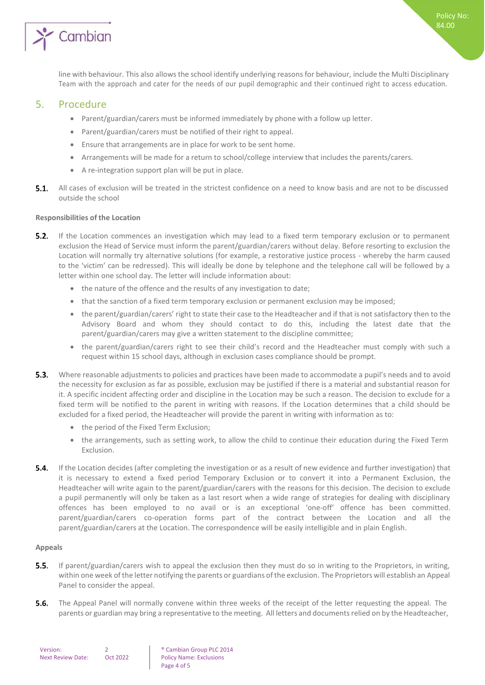

line with behaviour. This also allows the school identify underlying reasons for behaviour, include the Multi Disciplinary Team with the approach and cater for the needs of our pupil demographic and their continued right to access education.

#### <span id="page-3-0"></span>5. Procedure

- Parent/guardian/carers must be informed immediately by phone with a follow up letter.
- Parent/guardian/carers must be notified of their right to appeal.
- Ensure that arrangements are in place for work to be sent home.
- Arrangements will be made for a return to school/college interview that includes the parents/carers.
- A re-integration support plan will be put in place.
- **5.1.** All cases of exclusion will be treated in the strictest confidence on a need to know basis and are not to be discussed outside the school

#### <span id="page-3-1"></span>**Responsibilities of the Location**

- $5.2.$ If the Location commences an investigation which may lead to a fixed term temporary exclusion or to permanent exclusion the Head of Service must inform the parent/guardian/carers without delay. Before resorting to exclusion the Location will normally try alternative solutions (for example, a restorative justice process - whereby the harm caused to the 'victim' can be redressed). This will ideally be done by telephone and the telephone call will be followed by a letter within one school day. The letter will include information about:
	- the nature of the offence and the results of any investigation to date;
	- that the sanction of a fixed term temporary exclusion or permanent exclusion may be imposed;
	- the parent/guardian/carers' right to state their case to the Headteacher and if that is not satisfactory then to the Advisory Board and whom they should contact to do this, including the latest date that the parent/guardian/carers may give a written statement to the discipline committee;
	- the parent/guardian/carers right to see their child's record and the Headteacher must comply with such a request within 15 school days, although in exclusion cases compliance should be prompt.
- $5.3.$ Where reasonable adjustments to policies and practices have been made to accommodate a pupil's needs and to avoid the necessity for exclusion as far as possible, exclusion may be justified if there is a material and substantial reason for it. A specific incident affecting order and discipline in the Location may be such a reason. The decision to exclude for a fixed term will be notified to the parent in writing with reasons. If the Location determines that a child should be excluded for a fixed period, the Headteacher will provide the parent in writing with information as to:
	- the period of the Fixed Term Exclusion;
	- the arrangements, such as setting work, to allow the child to continue their education during the Fixed Term Exclusion.
- $5.4.$ If the Location decides (after completing the investigation or as a result of new evidence and further investigation) that it is necessary to extend a fixed period Temporary Exclusion or to convert it into a Permanent Exclusion, the Headteacher will write again to the parent/guardian/carers with the reasons for this decision. The decision to exclude a pupil permanently will only be taken as a last resort when a wide range of strategies for dealing with disciplinary offences has been employed to no avail or is an exceptional 'one-off' offence has been committed. parent/guardian/carers co-operation forms part of the contract between the Location and all the parent/guardian/carers at the Location. The correspondence will be easily intelligible and in plain English.

#### <span id="page-3-2"></span>**Appeals**

- $5.5.$ If parent/guardian/carers wish to appeal the exclusion then they must do so in writing to the Proprietors, in writing, within one week of the letter notifying the parents or guardians of the exclusion. The Proprietors will establish an Appeal Panel to consider the appeal.
- The Appeal Panel will normally convene within three weeks of the receipt of the letter requesting the appeal. The  $5.6.$ parents or guardian may bring a representative to the meeting. All letters and documents relied on by the Headteacher,

| Version:                 |          |
|--------------------------|----------|
| <b>Next Review Date:</b> | Oct 2022 |